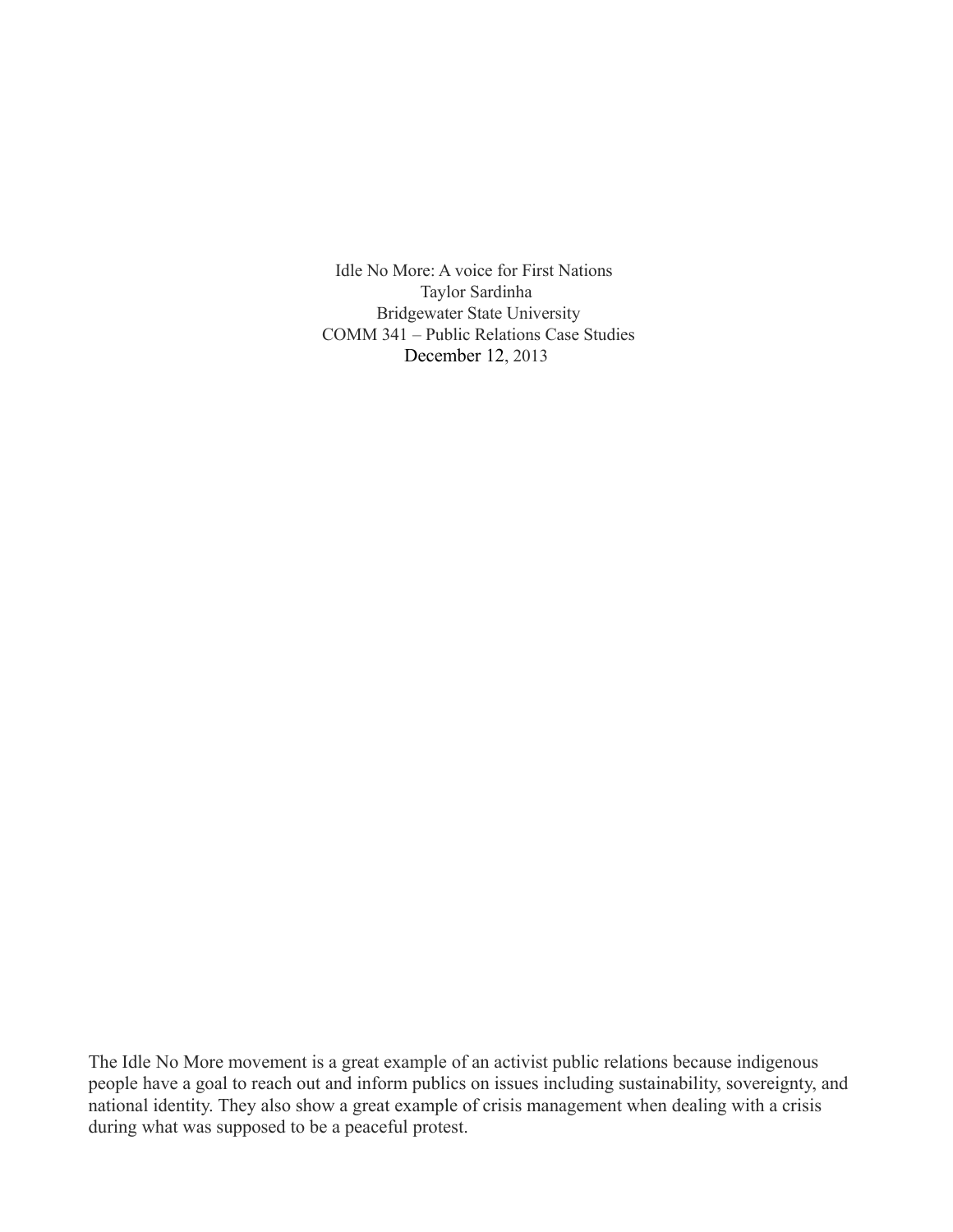Idle No More: A voice for First Nations Taylor Sardinha Bridgewater State University COMM 341 – Public Relations Case Studies December 12, 2013

The Idle No More movement is a great example of an activist public relations because indigenous people have a goal to reach out and inform publics on issues including sustainability, sovereignty, and national identity. They also show a great example of crisis management when dealing with a crisis during what was supposed to be a peaceful protest.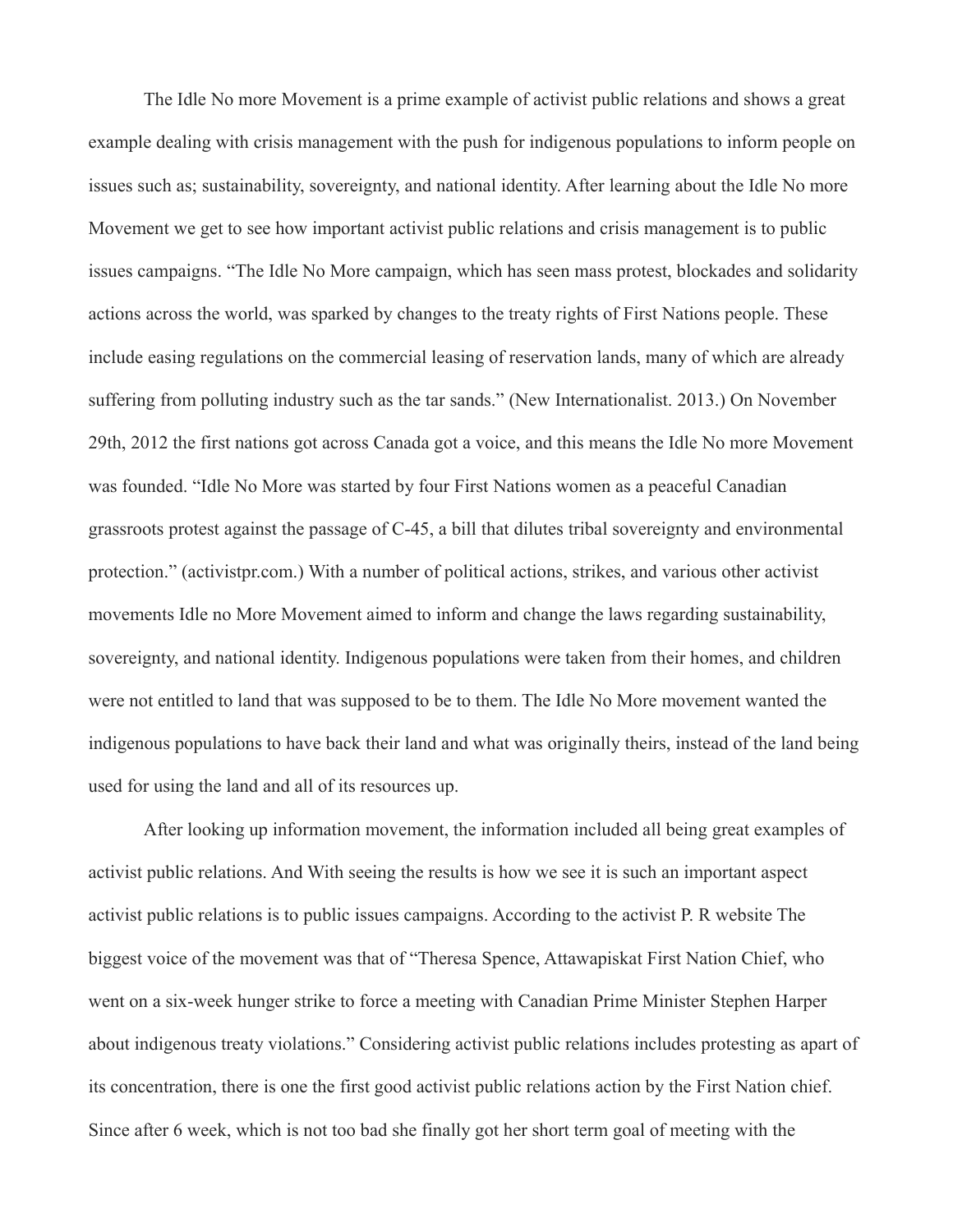The Idle No more Movement is a prime example of activist public relations and shows a great example dealing with crisis management with the push for indigenous populations to inform people on issues such as; sustainability, sovereignty, and national identity. After learning about the Idle No more Movement we get to see how important activist public relations and crisis management is to public issues campaigns. "The Idle No More campaign, which has seen mass protest, blockades and solidarity actions across the world, was sparked by changes to the treaty rights of First Nations people. These include easing regulations on the commercial leasing of reservation lands, many of which are already suffering from polluting industry such as the tar sands." (New Internationalist. 2013.) On November 29th, 2012 the first nations got across Canada got a voice, and this means the Idle No more Movement was founded. "Idle No More was started by four First Nations women as a peaceful Canadian grassroots protest against the passage of C-45, a bill that dilutes tribal sovereignty and environmental protection." (activistpr.com.) With a number of political actions, strikes, and various other activist movements Idle no More Movement aimed to inform and change the laws regarding sustainability, sovereignty, and national identity. Indigenous populations were taken from their homes, and children were not entitled to land that was supposed to be to them. The Idle No More movement wanted the indigenous populations to have back their land and what was originally theirs, instead of the land being used for using the land and all of its resources up.

After looking up information movement, the information included all being great examples of activist public relations. And With seeing the results is how we see it is such an important aspect activist public relations is to public issues campaigns. According to the activist P. R website The biggest voice of the movement was that of "Theresa Spence, Attawapiskat First Nation Chief, who went on a six-week hunger strike to force a meeting with Canadian Prime Minister Stephen Harper about indigenous treaty violations." Considering activist public relations includes protesting as apart of its concentration, there is one the first good activist public relations action by the First Nation chief. Since after 6 week, which is not too bad she finally got her short term goal of meeting with the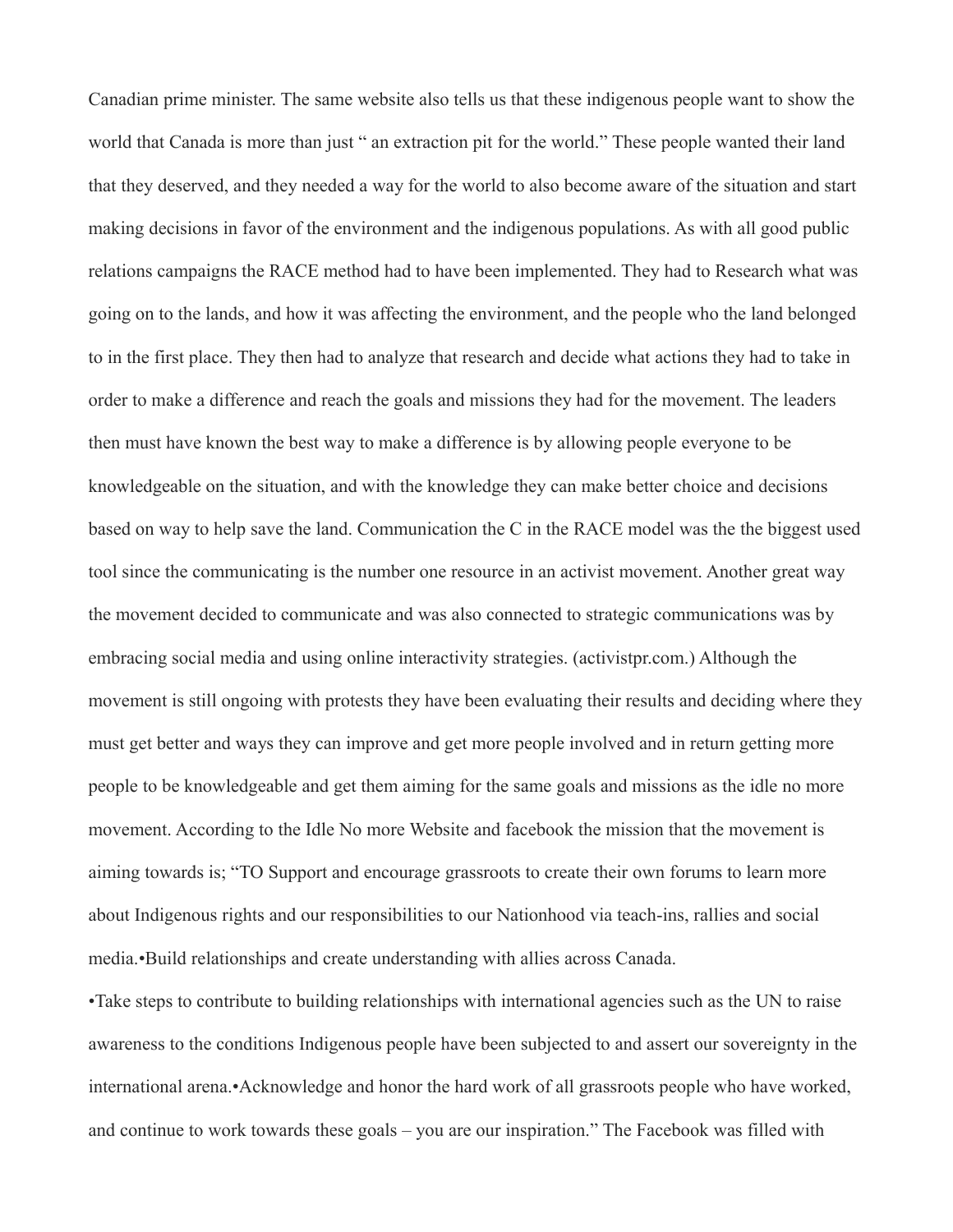Canadian prime minister. The same website also tells us that these indigenous people want to show the world that Canada is more than just " an extraction pit for the world." These people wanted their land that they deserved, and they needed a way for the world to also become aware of the situation and start making decisions in favor of the environment and the indigenous populations. As with all good public relations campaigns the RACE method had to have been implemented. They had to Research what was going on to the lands, and how it was affecting the environment, and the people who the land belonged to in the first place. They then had to analyze that research and decide what actions they had to take in order to make a difference and reach the goals and missions they had for the movement. The leaders then must have known the best way to make a difference is by allowing people everyone to be knowledgeable on the situation, and with the knowledge they can make better choice and decisions based on way to help save the land. Communication the C in the RACE model was the the biggest used tool since the communicating is the number one resource in an activist movement. Another great way the movement decided to communicate and was also connected to strategic communications was by embracing social media and using online interactivity strategies. (activistpr.com.) Although the movement is still ongoing with protests they have been evaluating their results and deciding where they must get better and ways they can improve and get more people involved and in return getting more people to be knowledgeable and get them aiming for the same goals and missions as the idle no more movement. According to the Idle No more Website and facebook the mission that the movement is aiming towards is; "TO Support and encourage grassroots to create their own forums to learn more about Indigenous rights and our responsibilities to our Nationhood via teach-ins, rallies and social media.•Build relationships and create understanding with allies across Canada.

•Take steps to contribute to building relationships with international agencies such as the UN to raise awareness to the conditions Indigenous people have been subjected to and assert our sovereignty in the international arena.•Acknowledge and honor the hard work of all grassroots people who have worked, and continue to work towards these goals – you are our inspiration." The Facebook was filled with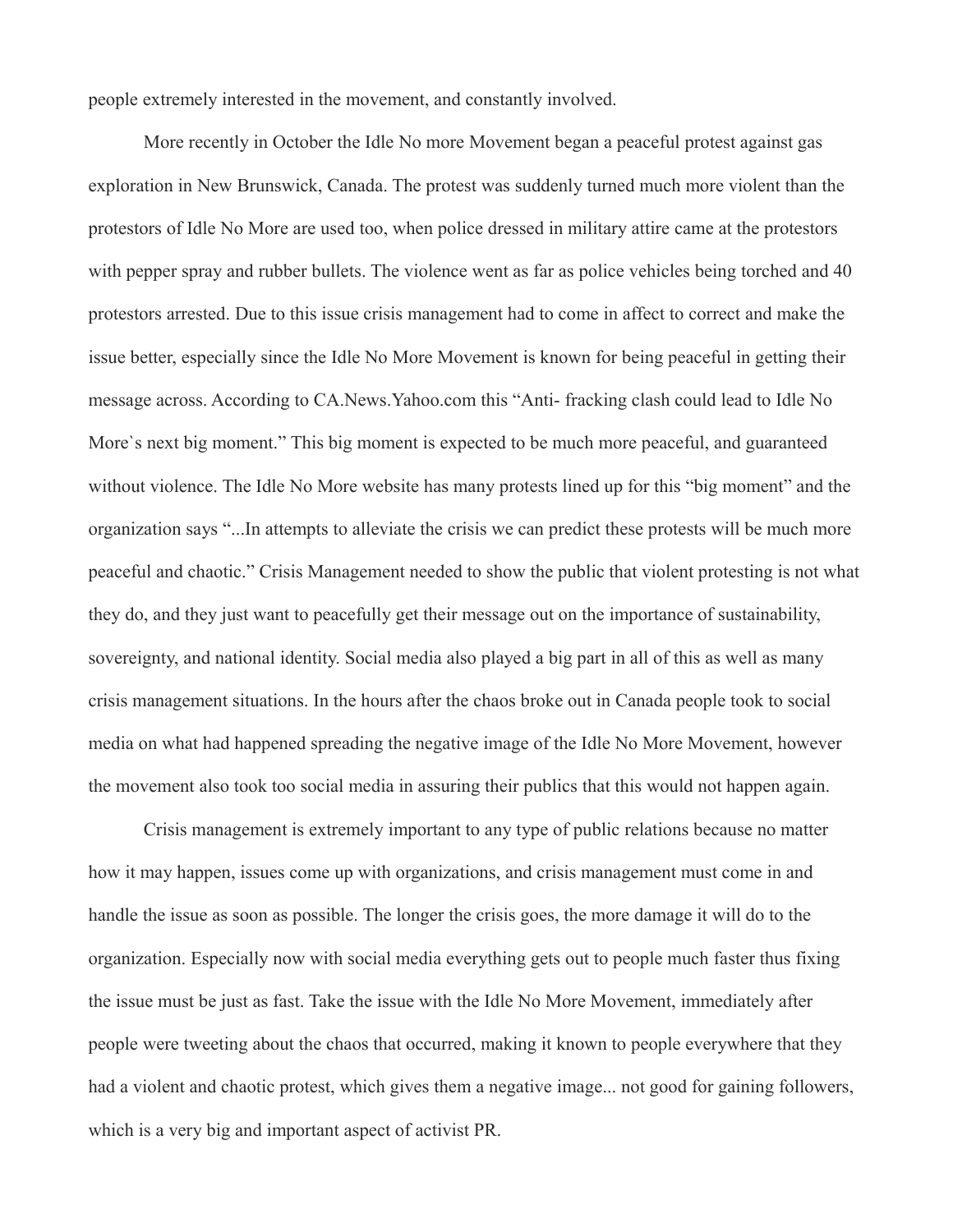people extremely interested in the movement, and constantly involved.

More recently in October the Idle No more Movement began a peaceful protest against gas exploration in New Brunswick, Canada. The protest was suddenly turned much more violent than the protestors of Idle No More are used too, when police dressed in military attire came at the protestors with pepper spray and rubber bullets. The violence went as far as police vehicles being torched and 40 protestors arrested. Due to this issue crisis management had to come in affect to correct and make the issue better, especially since the Idle No More Movement is known for being peaceful in getting their message across. According to CA.News.Yahoo.com this "Anti- fracking clash could lead to Idle No More`s next big moment." This big moment is expected to be much more peaceful, and guaranteed without violence. The Idle No More website has many protests lined up for this "big moment" and the organization says "...In attempts to alleviate the crisis we can predict these protests will be much more peaceful and chaotic." Crisis Management needed to show the public that violent protesting is not what they do, and they just want to peacefully get their message out on the importance of sustainability, sovereignty, and national identity. Social media also played a big part in all of this as well as many crisis management situations. In the hours after the chaos broke out in Canada people took to social media on what had happened spreading the negative image of the Idle No More Movement, however the movement also took too social media in assuring their publics that this would not happen again.

Crisis management is extremely important to any type of public relations because no matter how it may happen, issues come up with organizations, and crisis management must come in and handle the issue as soon as possible. The longer the crisis goes, the more damage it will do to the organization. Especially now with social media everything gets out to people much faster thus fixing the issue must be just as fast. Take the issue with the Idle No More Movement, immediately after people were tweeting about the chaos that occurred, making it known to people everywhere that they had a violent and chaotic protest, which gives them a negative image... not good for gaining followers, which is a very big and important aspect of activist PR.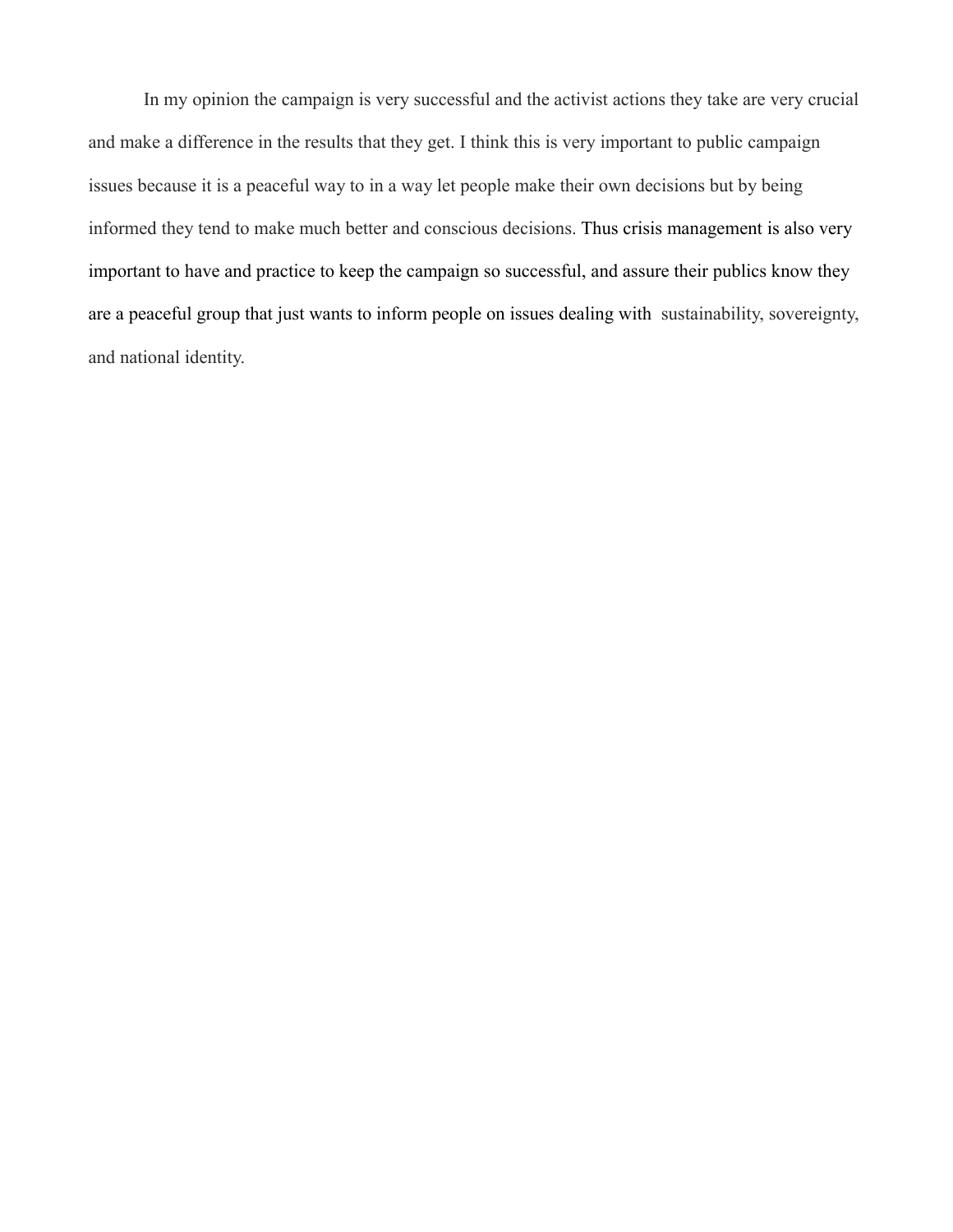In my opinion the campaign is very successful and the activist actions they take are very crucial and make a difference in the results that they get. I think this is very important to public campaign issues because it is a peaceful way to in a way let people make their own decisions but by being informed they tend to make much better and conscious decisions. Thus crisis management is also very important to have and practice to keep the campaign so successful, and assure their publics know they are a peaceful group that just wants to inform people on issues dealing with sustainability, sovereignty, and national identity.